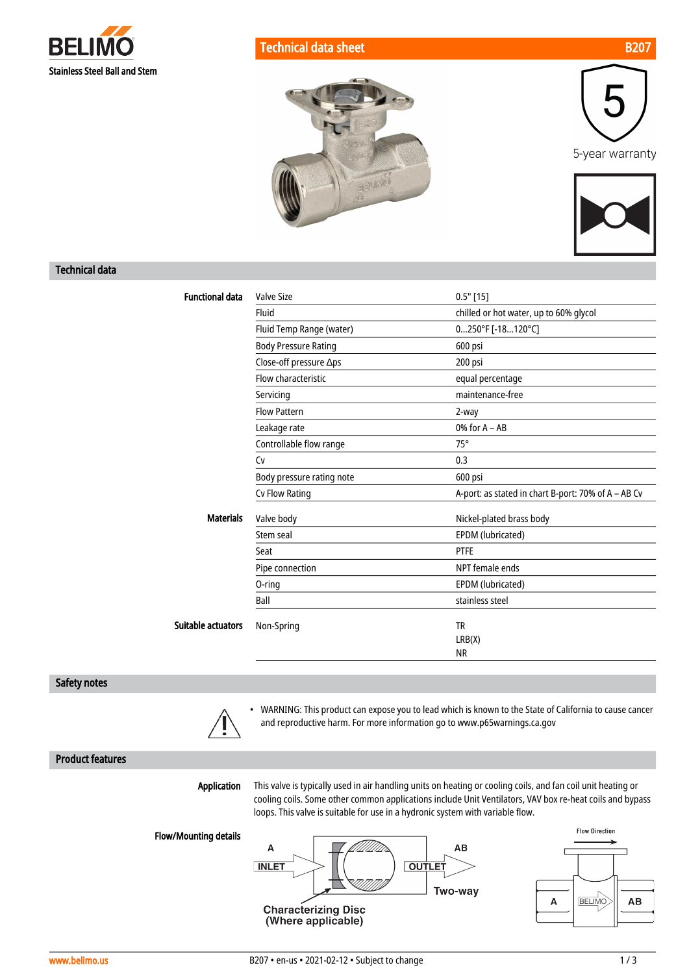

5-year warranty



### Technical data

| <b>Functional data</b> | <b>Valve Size</b>           | $0.5"$ [15]                                         |
|------------------------|-----------------------------|-----------------------------------------------------|
|                        | Fluid                       | chilled or hot water, up to 60% glycol              |
|                        | Fluid Temp Range (water)    | 0250°F [-18120°C]                                   |
|                        | <b>Body Pressure Rating</b> | 600 psi                                             |
|                        | Close-off pressure ∆ps      | 200 psi                                             |
|                        | Flow characteristic         | equal percentage                                    |
|                        | Servicing                   | maintenance-free                                    |
|                        | <b>Flow Pattern</b>         | 2-way                                               |
|                        | Leakage rate                | $0\%$ for $A - AB$                                  |
|                        | Controllable flow range     | $75^\circ$                                          |
|                        | Cv                          | 0.3                                                 |
|                        | Body pressure rating note   | 600 psi                                             |
|                        | Cv Flow Rating              | A-port: as stated in chart B-port: 70% of A - AB Cv |
| <b>Materials</b>       | Valve body                  | Nickel-plated brass body                            |
|                        | Stem seal                   | EPDM (lubricated)                                   |
|                        | Seat                        | <b>PTFE</b>                                         |
|                        | Pipe connection             | NPT female ends                                     |
|                        | 0-ring                      | EPDM (lubricated)                                   |
|                        | Ball                        | stainless steel                                     |
| Suitable actuators     | Non-Spring                  | <b>TR</b>                                           |
|                        |                             | LRB(X)                                              |
|                        |                             | <b>NR</b>                                           |

BRUINE

### Safety notes



• WARNING: This product can expose you to lead which is known to the State of California to cause cancer and reproductive harm. For more information go to www.p65warnings.ca.gov

### Product features

Application

This valve is typically used in air handling units on heating or cooling coils, and fan coil unit heating or cooling coils. Some other common applications include Unit Ventilators, VAV box re-heat coils and bypass loops. This valve is suitable for use in a hydronic system with variable flow.

Flow/Mounting details





**AB** 

**Flow Direction** 

**BELIMO**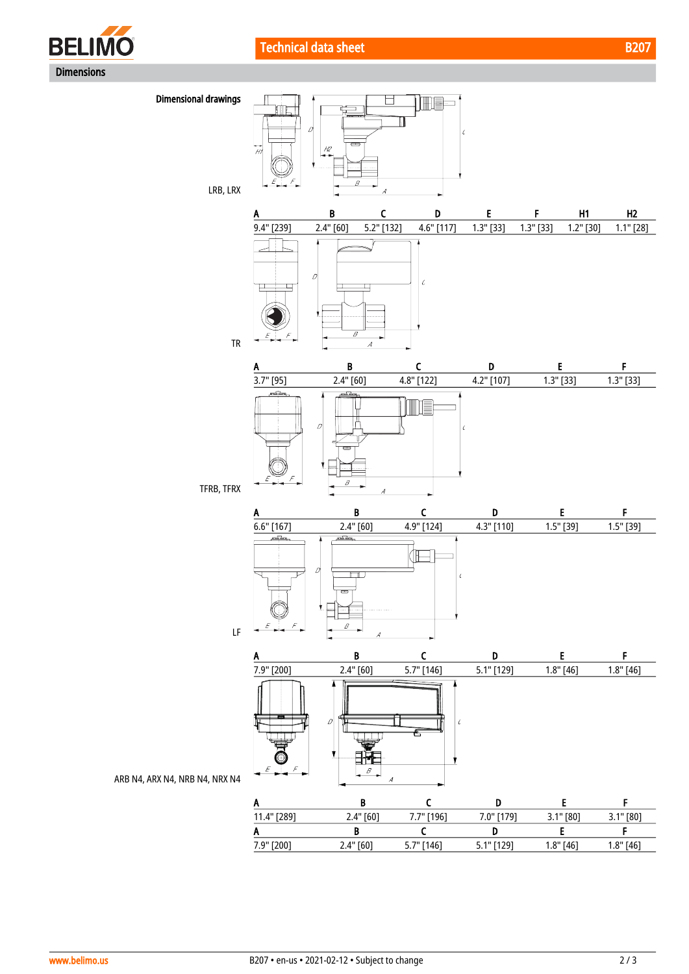





7.9" [200] 2.4" [60] 5.7" [146] 5.1" [129] 1.8" [46] 1.8" [46]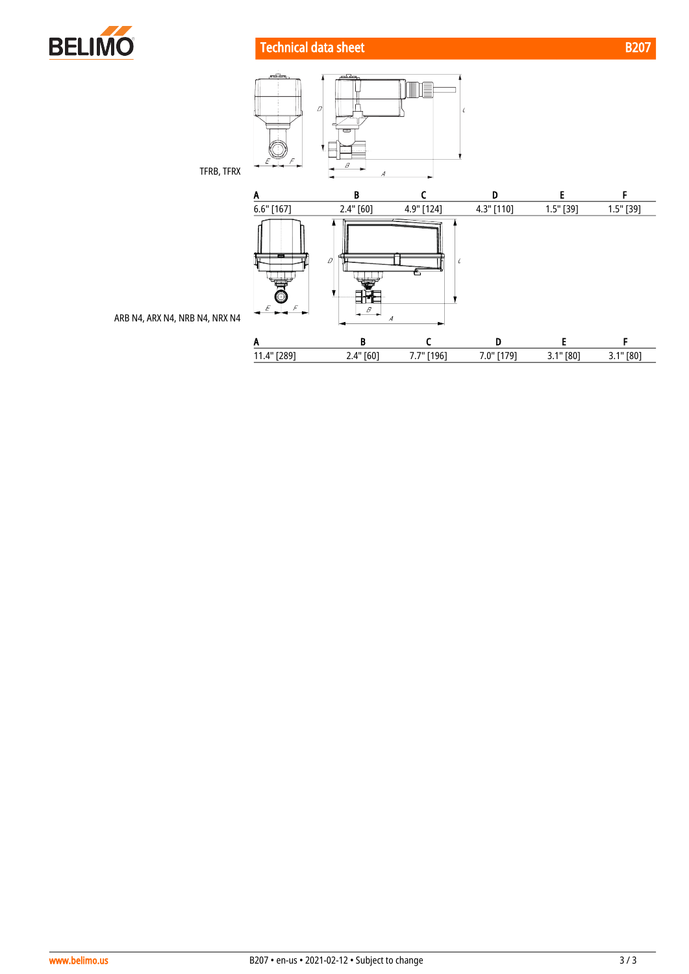

# **Technical data sheet B207**



ARB N4, ARX N4, NRB N4, NRX N4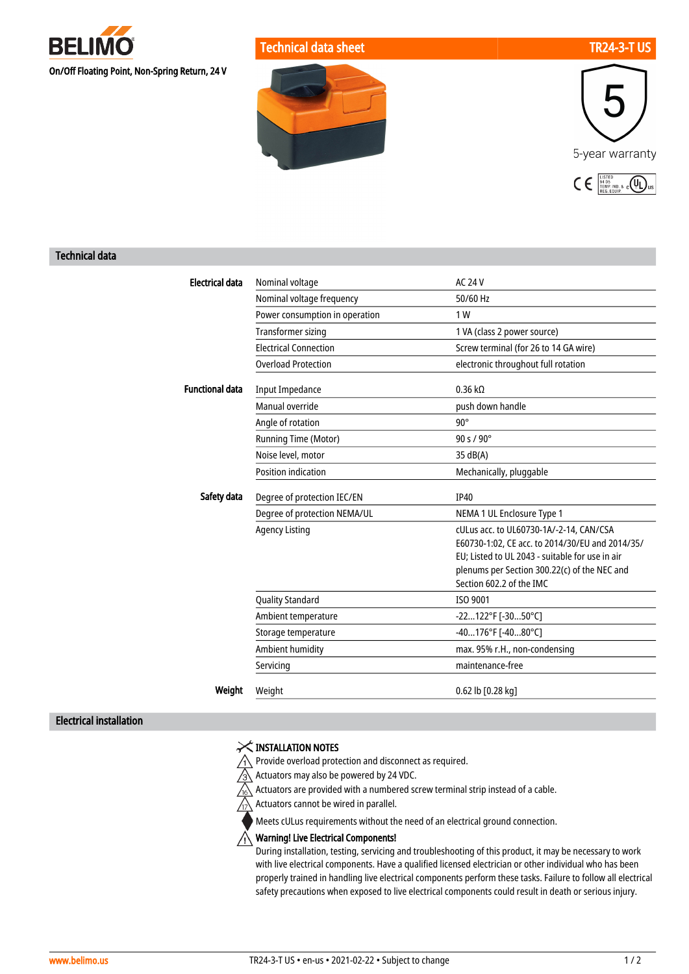

Technical data sheet TR24-3-T US





### Technical data

| <b>Electrical data</b> | Nominal voltage                | <b>AC 24 V</b>                                                                                                                                                                                                            |
|------------------------|--------------------------------|---------------------------------------------------------------------------------------------------------------------------------------------------------------------------------------------------------------------------|
|                        | Nominal voltage frequency      | 50/60 Hz                                                                                                                                                                                                                  |
|                        | Power consumption in operation | 1 W                                                                                                                                                                                                                       |
|                        | <b>Transformer sizing</b>      | 1 VA (class 2 power source)                                                                                                                                                                                               |
|                        | <b>Electrical Connection</b>   | Screw terminal (for 26 to 14 GA wire)                                                                                                                                                                                     |
|                        | <b>Overload Protection</b>     | electronic throughout full rotation                                                                                                                                                                                       |
|                        |                                |                                                                                                                                                                                                                           |
| <b>Functional data</b> | <b>Input Impedance</b>         | $0.36 k\Omega$                                                                                                                                                                                                            |
|                        | Manual override                | push down handle                                                                                                                                                                                                          |
|                        | Angle of rotation              | $90^\circ$                                                                                                                                                                                                                |
|                        | Running Time (Motor)           | 90 s / 90°                                                                                                                                                                                                                |
|                        | Noise level, motor             | 35 dB(A)                                                                                                                                                                                                                  |
|                        | <b>Position indication</b>     | Mechanically, pluggable                                                                                                                                                                                                   |
| Safety data            | Degree of protection IEC/EN    | <b>IP40</b>                                                                                                                                                                                                               |
|                        | Degree of protection NEMA/UL   | NEMA 1 UL Enclosure Type 1                                                                                                                                                                                                |
|                        | <b>Agency Listing</b>          | cULus acc. to UL60730-1A/-2-14, CAN/CSA<br>E60730-1:02, CE acc. to 2014/30/EU and 2014/35/<br>EU: Listed to UL 2043 - suitable for use in air<br>plenums per Section 300.22(c) of the NEC and<br>Section 602.2 of the IMC |
|                        | <b>Quality Standard</b>        | ISO 9001                                                                                                                                                                                                                  |
|                        | Ambient temperature            | -22122°F [-3050°C]                                                                                                                                                                                                        |
|                        | Storage temperature            | -40176°F [-4080°C]                                                                                                                                                                                                        |
|                        | Ambient humidity               | max. 95% r.H., non-condensing                                                                                                                                                                                             |
|                        | Servicing                      | maintenance-free                                                                                                                                                                                                          |
| Weight                 | Weight                         | 0.62 lb [0.28 kg]                                                                                                                                                                                                         |

### Electrical installation

# $\times$  INSTALLATION NOTES

 $\bigwedge$  Provide overload protection and disconnect as required.

 $\sqrt{3}$  Actuators may also be powered by 24 VDC.

 $\lambda$  Actuators are provided with a numbered screw terminal strip instead of a cable.

 $\sqrt{17}$ Actuators cannot be wired in parallel.

Meets cULus requirements without the need of an electrical ground connection.

# $\bigwedge$  Warning! Live Electrical Components!

During installation, testing, servicing and troubleshooting of this product, it may be necessary to work with live electrical components. Have a qualified licensed electrician or other individual who has been properly trained in handling live electrical components perform these tasks. Failure to follow all electrical safety precautions when exposed to live electrical components could result in death or serious injury.